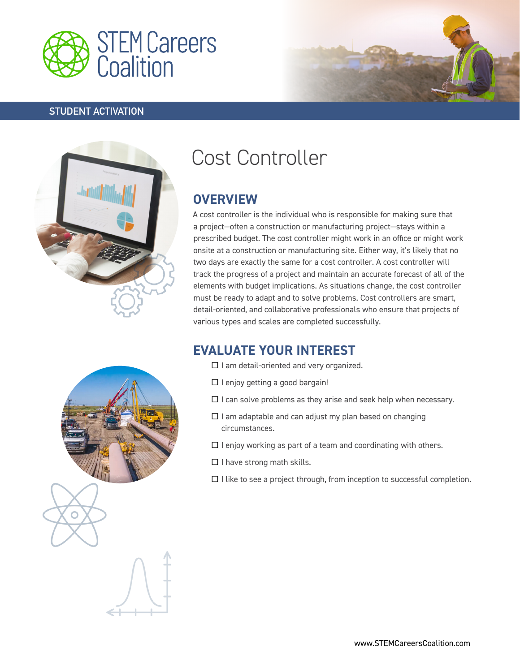

#### **STUDENT ACTIVATION**





# Cost Controller

## **OVERVIEW**

A cost controller is the individual who is responsible for making sure that a project—often a construction or manufacturing project—stays within a prescribed budget. The cost controller might work in an office or might work onsite at a construction or manufacturing site. Either way, it's likely that no two days are exactly the same for a cost controller. A cost controller will track the progress of a project and maintain an accurate forecast of all of the elements with budget implications. As situations change, the cost controller must be ready to adapt and to solve problems. Cost controllers are smart, detail-oriented, and collaborative professionals who ensure that projects of various types and scales are completed successfully.

## **EVALUATE YOUR INTEREST**

- $\Box$  I am detail-oriented and very organized.
- $\square$  I enjoy getting a good bargain!
- $\square$  I can solve problems as they arise and seek help when necessary.
- $\Box$  I am adaptable and can adjust my plan based on changing circumstances.
- $\Box$  I enjoy working as part of a team and coordinating with others.
- $\Box$  I have strong math skills.
- $\Box$  I like to see a project through, from inception to successful completion.

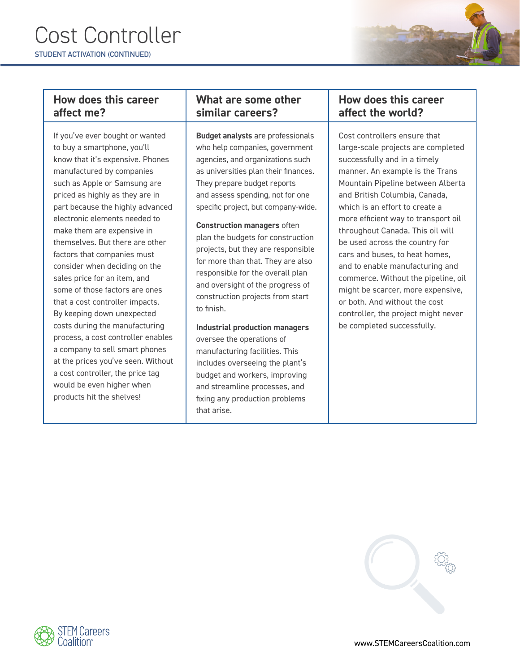

#### **How does this career affect me?**

If you've ever bought or wanted to buy a smartphone, you'll know that it's expensive. Phones manufactured by companies such as Apple or Samsung are priced as highly as they are in part because the highly advanced electronic elements needed to make them are expensive in themselves. But there are other factors that companies must consider when deciding on the sales price for an item, and some of those factors are ones that a cost controller impacts. By keeping down unexpected costs during the manufacturing process, a cost controller enables a company to sell smart phones at the prices you've seen. Without a cost controller, the price tag would be even higher when products hit the shelves!

### **What are some other similar careers?**

**Budget analysts** are professionals who help companies, government agencies, and organizations such as universities plan their finances. They prepare budget reports and assess spending, not for one specific project, but company-wide.

**Construction managers** often plan the budgets for construction projects, but they are responsible for more than that. They are also responsible for the overall plan and oversight of the progress of construction projects from start to finish.

**Industrial production managers** oversee the operations of manufacturing facilities. This includes overseeing the plant's budget and workers, improving and streamline processes, and fixing any production problems that arise.

#### **How does this career affect the world?**

Cost controllers ensure that large-scale projects are completed successfully and in a timely manner. An example is the Trans Mountain Pipeline between Alberta and British Columbia, Canada, which is an effort to create a more efficient way to transport oil throughout Canada. This oil will be used across the country for cars and buses, to heat homes, and to enable manufacturing and commerce. Without the pipeline, oil might be scarcer, more expensive, or both. And without the cost controller, the project might never be completed successfully.